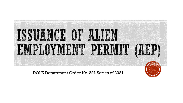

DOLE Department Order No. 221 Series of 2021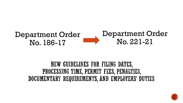

#### NEW GUIDELINES FOR FILING DATES, PROCESSING TIME, PERMIT FEES, PENALTIES, DOCUMENTARY REQUIREMENTS, AND EMPLOYERS' DUTIES

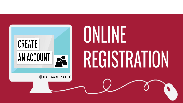

# ONLINE **REGISTRATION**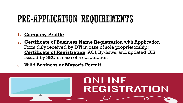### PRE-APPLICATION REQUIREMENTS

#### **1. Company Profile**

- **2. Certificate of Business Name Registration** with Application Form duly received by DTI in case of sole proprietorship; **Certificate of Registration**, AOI, By-Laws, and updated GIS issued by SEC in case of a corporation
- 3. Valid **Business or Mayor's Permit**

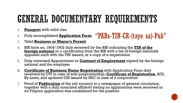### GENERAL DOCUMENTARY REQUIREMENTS

- **1. Passport** with valid visa
- 2. Duly accomplished **Application Form**
- 3. Valid **Business or Mayor's Permit**
- 4. BIR form no. 1904/1902 duly received by the BIR indicating the **TIN of the foreign national** or a certification from the BIR with a list of foreign nationals opposite each with the TIN issued, or a copy of e-registration
- 5. Duly notarized Appointment or **Contract of Employment** signed by the foreign national and the employer

"PABs-TIN-CR-(tayo sa)-Pub"

- **6. Certificate of Business Name Registration** with Application Form duly received by DTI in case of sole proprietorship; **Certificate of Registration**, AOI, By-Laws, and updated GIS issued by SEC in case of a corporation
- 7. Proof of **Publication** of the job vacancy in a newspaper of general circulation, together with a duly notarized affidavit stating no applications were received or no Filipino application was considered for the position

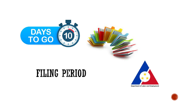

#### FILING PERIOD



**Department of Labor and Employment** 

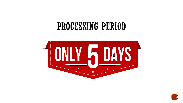### PROCESSING PERIOD



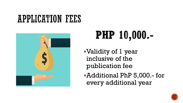### **APPLICATION FEES**



# PHP 10,000.

- ▪Validity of 1 year inclusive of the publication fee
- ▪Additional PhP 5,000.- for every additional year

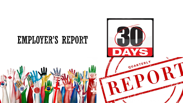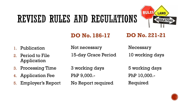## REVISED RULES AND REGULATIONS



#### **DO No. 186-17 DO No. 221-21**

- 1. Publication
- 2. Period to File Application

15-day Grace Period

Necessary 10 working days

- 3. Processing Time
- 4. Application Fee
- 5. Employer's Report

3 working days PhP 9,000.-

Not necessary

No Report required

5 working days PhP 10,000.- Required

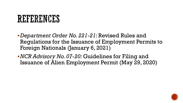### REFERENCES

- ▪*Department Order No. 221-21*: Revised Rules and Regulations for the Issuance of Employment Permits to Foreign Nationals (January 6, 2021)
- ▪*NCR Advisory No. 07-20:* Guidelines for Filing and Issuance of Alien Employment Permit (May 29, 2020)